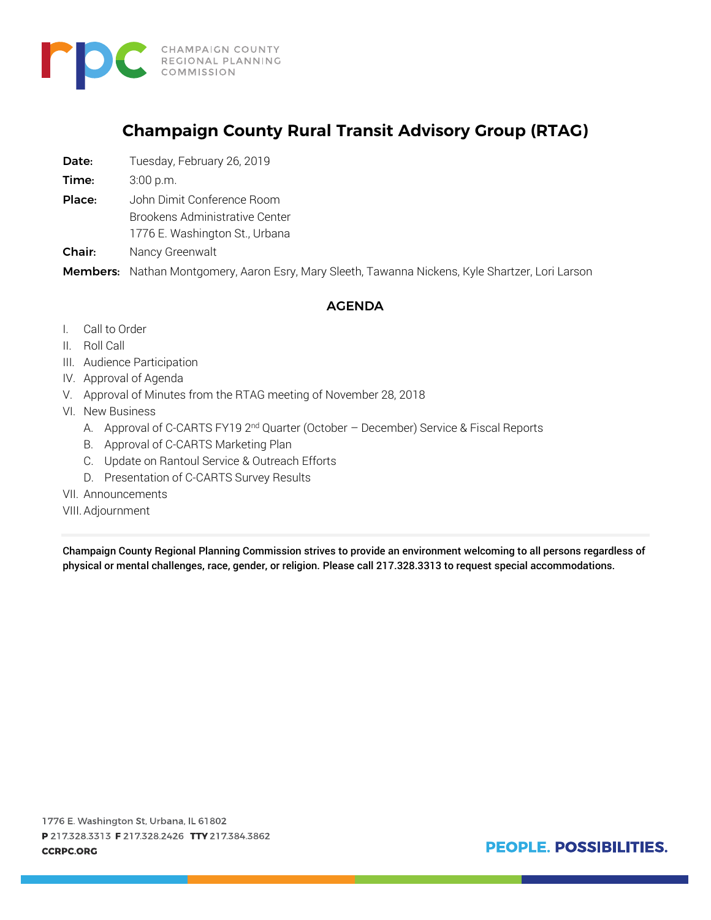

# **Champaign County Rural Transit Advisory Group (RTAG)**

Date: Tuesday, February 26, 2019

**Time:** 3:00 p.m.

Place: John Dimit Conference Room

Brookens Administrative Center

1776 E. Washington St., Urbana

Chair: Nancy Greenwalt

Members: Nathan Montgomery, Aaron Esry, Mary Sleeth, Tawanna Nickens, Kyle Shartzer, Lori Larson

#### AGENDA

- I. Call to Order
- II. Roll Call
- III. Audience Participation
- IV. Approval of Agenda
- V. Approval of Minutes from the RTAG meeting of November 28, 2018
- VI. New Business
	- A. Approval of C-CARTS FY19 2<sup>nd</sup> Quarter (October December) Service & Fiscal Reports
	- B. Approval of C-CARTS Marketing Plan
	- C. Update on Rantoul Service & Outreach Efforts
	- D. Presentation of C-CARTS Survey Results
- VII. Announcements
- VIII.Adjournment

Champaign County Regional Planning Commission strives to provide an environment welcoming to all persons regardless of physical or mental challenges, race, gender, or religion. Please call 217.328.3313 to request special accommodations.

1776 E. Washington St, Urbana, IL 61802 P 217.328.3313 F 217.328.2426 TTY 217.384.3862 **CCRPC.ORG** 

PEOPLE. POSSIBILITIES.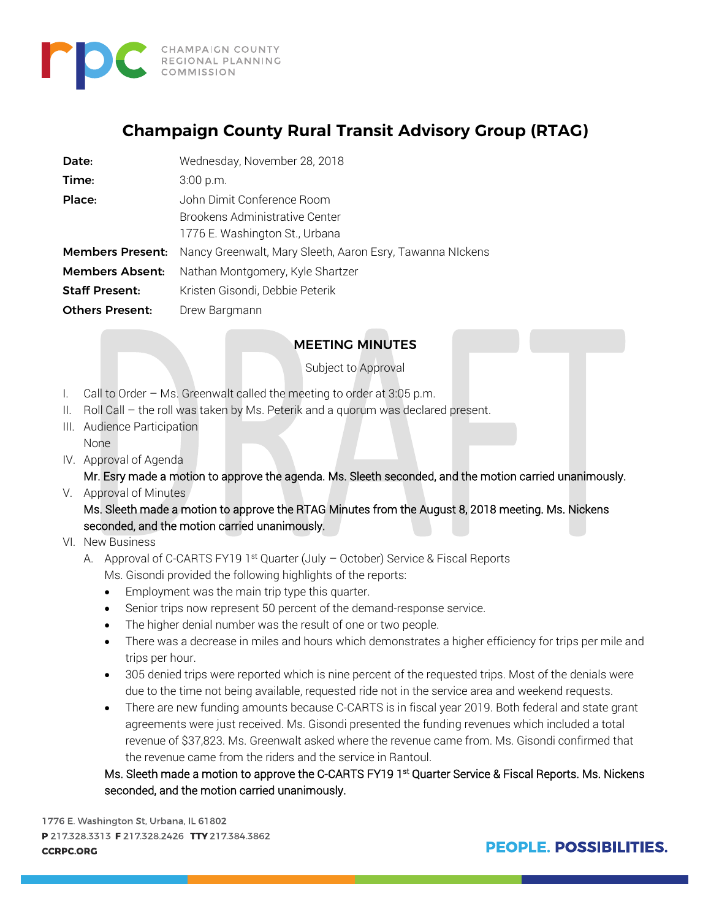

# **Champaign County Rural Transit Advisory Group (RTAG)**

| Date:                   | Wednesday, November 28, 2018                              |
|-------------------------|-----------------------------------------------------------|
| Time:                   | $3:00$ p.m.                                               |
| Place:                  | John Dimit Conference Room                                |
|                         | Brookens Administrative Center                            |
|                         | 1776 E. Washington St., Urbana                            |
| <b>Members Present:</b> | Nancy Greenwalt, Mary Sleeth, Aaron Esry, Tawanna Nickens |
| <b>Members Absent:</b>  | Nathan Montgomery, Kyle Shartzer                          |
| <b>Staff Present:</b>   | Kristen Gisondi, Debbie Peterik                           |
| <b>Others Present:</b>  | Drew Bargmann                                             |

# MEETING MINUTES

Subject to Approval

- I. Call to Order Ms. Greenwalt called the meeting to order at 3:05 p.m.
- II. Roll Call the roll was taken by Ms. Peterik and a quorum was declared present.
- III. Audience Participation None
- IV. Approval of Agenda

Mr. Esry made a motion to approve the agenda. Ms. Sleeth seconded, and the motion carried unanimously.

V. Approval of Minutes

Ms. Sleeth made a motion to approve the RTAG Minutes from the August 8, 2018 meeting. Ms. Nickens seconded, and the motion carried unanimously.

- VI. New Business
	- A. Approval of C-CARTS FY19 1<sup>st</sup> Quarter (July October) Service & Fiscal Reports
		- Ms. Gisondi provided the following highlights of the reports:
		- Employment was the main trip type this quarter.
		- Senior trips now represent 50 percent of the demand-response service.
		- The higher denial number was the result of one or two people.
		- There was a decrease in miles and hours which demonstrates a higher efficiency for trips per mile and trips per hour.
		- 305 denied trips were reported which is nine percent of the requested trips. Most of the denials were due to the time not being available, requested ride not in the service area and weekend requests.
		- There are new funding amounts because C-CARTS is in fiscal year 2019. Both federal and state grant agreements were just received. Ms. Gisondi presented the funding revenues which included a total revenue of \$37,823. Ms. Greenwalt asked where the revenue came from. Ms. Gisondi confirmed that the revenue came from the riders and the service in Rantoul.

Ms. Sleeth made a motion to approve the C-CARTS FY19 1<sup>st</sup> Quarter Service & Fiscal Reports. Ms. Nickens seconded, and the motion carried unanimously.

1776 E. Washington St, Urbana, IL 61802 P 217.328.3313 F 217.328.2426 TTY 217.384.3862 **CCRPC.ORG** 

**PEOPLE, POSSIBILITIES.**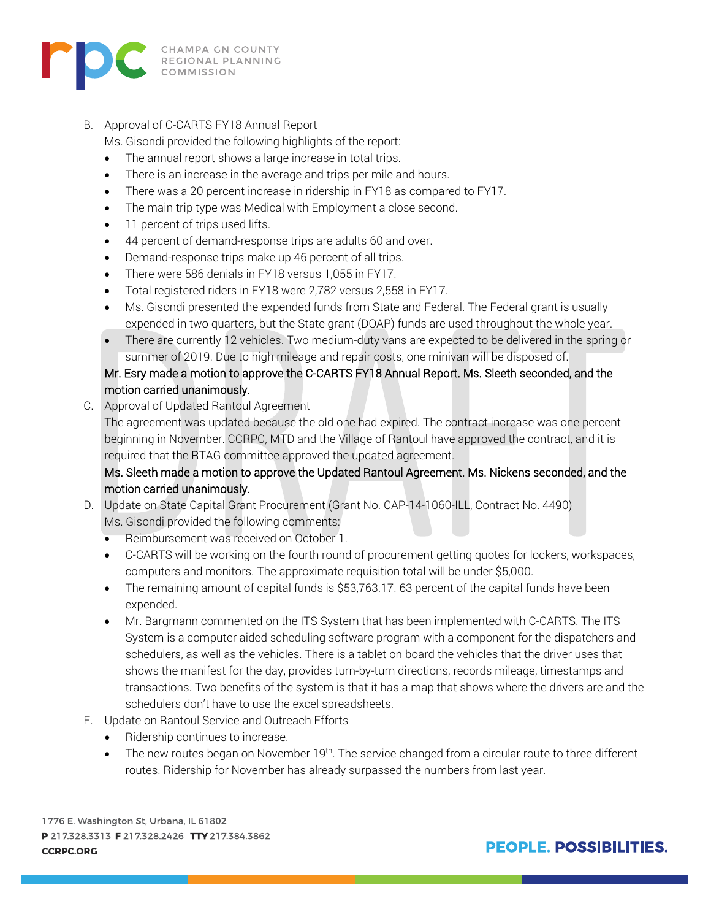

B. Approval of C-CARTS FY18 Annual Report

Ms. Gisondi provided the following highlights of the report:

- The annual report shows a large increase in total trips.
- There is an increase in the average and trips per mile and hours.
- There was a 20 percent increase in ridership in FY18 as compared to FY17.
- The main trip type was Medical with Employment a close second.
- 11 percent of trips used lifts.
- 44 percent of demand-response trips are adults 60 and over.
- Demand-response trips make up 46 percent of all trips.
- There were 586 denials in FY18 versus 1,055 in FY17.
- Total registered riders in FY18 were 2,782 versus 2,558 in FY17.
- Ms. Gisondi presented the expended funds from State and Federal. The Federal grant is usually expended in two quarters, but the State grant (DOAP) funds are used throughout the whole year.
- There are currently 12 vehicles. Two medium-duty vans are expected to be delivered in the spring or summer of 2019. Due to high mileage and repair costs, one minivan will be disposed of.

#### Mr. Esry made a motion to approve the C-CARTS FY18 Annual Report. Ms. Sleeth seconded, and the motion carried unanimously.

C. Approval of Updated Rantoul Agreement

The agreement was updated because the old one had expired. The contract increase was one percent beginning in November. CCRPC, MTD and the Village of Rantoul have approved the contract, and it is required that the RTAG committee approved the updated agreement.

## Ms. Sleeth made a motion to approve the Updated Rantoul Agreement. Ms. Nickens seconded, and the motion carried unanimously.

- D. Update on State Capital Grant Procurement (Grant No. CAP-14-1060-ILL, Contract No. 4490) Ms. Gisondi provided the following comments:
	- Reimbursement was received on October 1.
	- C-CARTS will be working on the fourth round of procurement getting quotes for lockers, workspaces, computers and monitors. The approximate requisition total will be under \$5,000.
	- The remaining amount of capital funds is \$53,763.17. 63 percent of the capital funds have been expended.
	- Mr. Bargmann commented on the ITS System that has been implemented with C-CARTS. The ITS System is a computer aided scheduling software program with a component for the dispatchers and schedulers, as well as the vehicles. There is a tablet on board the vehicles that the driver uses that shows the manifest for the day, provides turn-by-turn directions, records mileage, timestamps and transactions. Two benefits of the system is that it has a map that shows where the drivers are and the schedulers don't have to use the excel spreadsheets.
- E. Update on Rantoul Service and Outreach Efforts
	- Ridership continues to increase.
	- The new routes began on November 19<sup>th</sup>. The service changed from a circular route to three different routes. Ridership for November has already surpassed the numbers from last year.

1776 E. Washington St, Urbana, IL 61802 P 217.328.3313 F 217.328.2426 TTY 217.384.3862 **CCRPC.ORG** 

**PEOPLE, POSSIBILITIES.**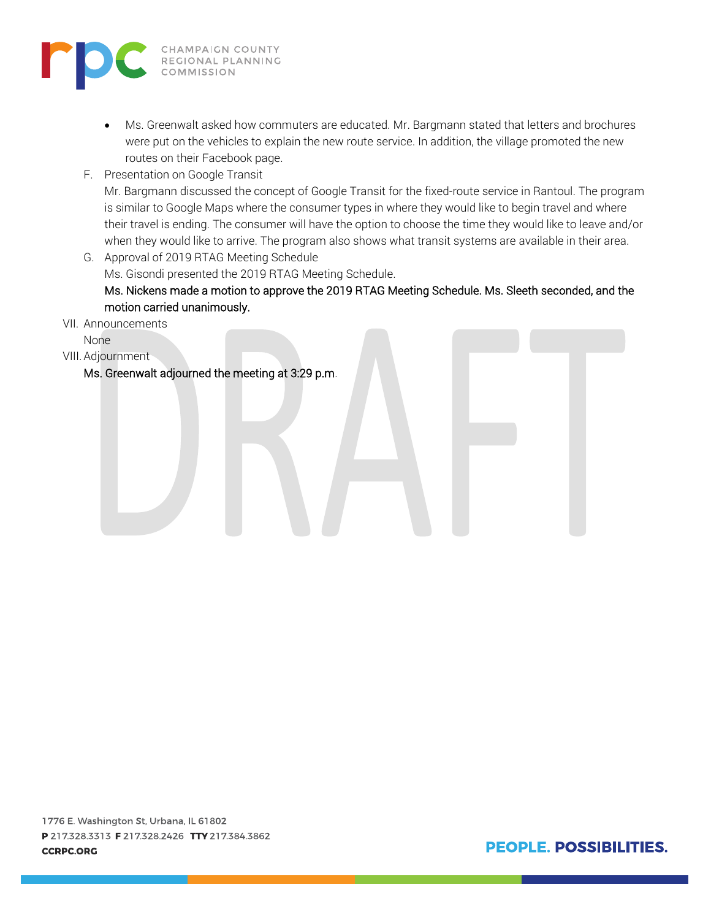

- Ms. Greenwalt asked how commuters are educated. Mr. Bargmann stated that letters and brochures were put on the vehicles to explain the new route service. In addition, the village promoted the new routes on their Facebook page.
- F. Presentation on Google Transit

Mr. Bargmann discussed the concept of Google Transit for the fixed-route service in Rantoul. The program is similar to Google Maps where the consumer types in where they would like to begin travel and where their travel is ending. The consumer will have the option to choose the time they would like to leave and/or when they would like to arrive. The program also shows what transit systems are available in their area.

- G. Approval of 2019 RTAG Meeting Schedule Ms. Gisondi presented the 2019 RTAG Meeting Schedule. Ms. Nickens made a motion to approve the 2019 RTAG Meeting Schedule. Ms. Sleeth seconded, and the motion carried unanimously.
- VII. Announcements
	- None
- VIII.Adjournment

Ms. Greenwalt adjourned the meeting at 3:29 p.m.

PEOPLE. POSSIBILITIES.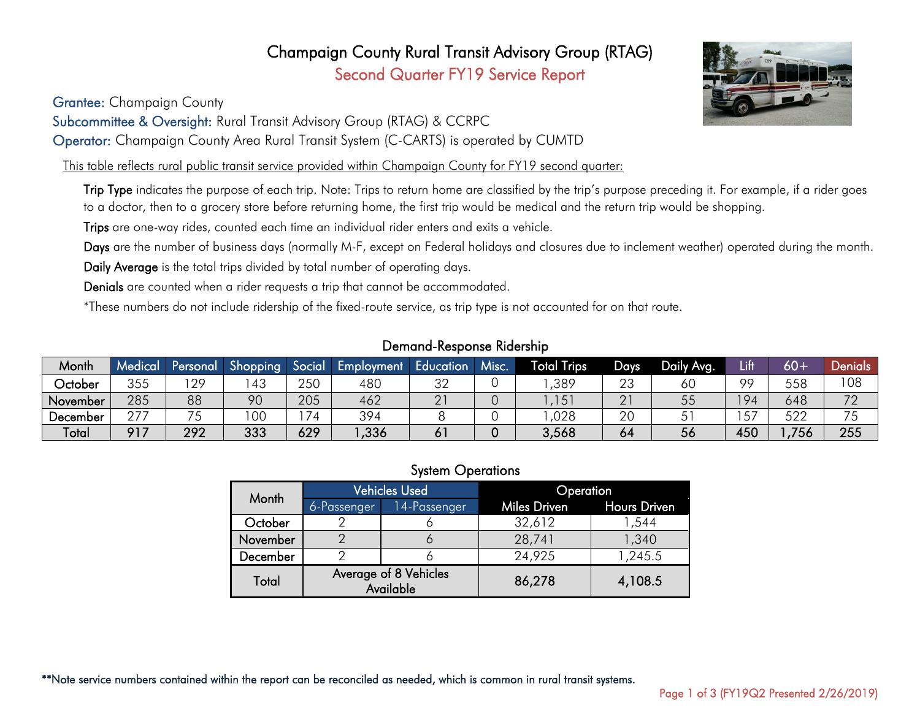# Champaign County Rural Transit Advisory Group (RTAG) Second Quarter FY19 Service Report

Grantee: Champaign County

Subcommittee & Oversight: Rural Transit Advisory Group (RTAG) & CCRPC

Operator: Champaign County Area Rural Transit System (C-CARTS) is operated by CUMTD

This table reflects rural public transit service provided within Champaign County for FY19 second quarter:

Trip Type indicates the purpose of each trip. Note: Trips to return home are classified by the trip's purpose preceding it. For example, if a rider goes to a doctor, then to a grocery store before returning home, the first trip would be medical and the return trip would be shopping.

Trips are one-way rides, counted each time an individual rider enters and exits a vehicle.

Days are the number of business days (normally M-F, except on Federal holidays and closures due to inclement weather) operated during the month.

Daily Average is the total trips divided by total number of operating days.

Denials are counted when a rider requests a trip that cannot be accommodated.

\*These numbers do not include ridership of the fixed-route service, as trip type is not accounted for on that route.

## Demand-Response Ridership

| Month    | Medical   | Personal     | Shopping | Social     | Employment | Education    | Misc. | <b>Total Trips</b>      | Days     | Daily Ava. | Lift | $60 -$ | Jenials |
|----------|-----------|--------------|----------|------------|------------|--------------|-------|-------------------------|----------|------------|------|--------|---------|
| October  | 355       | 29<br>$\sim$ | 43       | つらへ<br>∠∪∪ | 480        | $\cap$<br>◡∠ |       | ,389                    | 23       | οU         | ററ   | 558    | 108     |
| November | 285       | 88           | 90       | 205        | 462        | ∩.<br>∠      |       | $\overline{ }$<br>, I J | ∩ 1<br>∠ | 55         | 94   | 648    | 70      |
| December | ヘラフ<br>27 | $- -$        | 00       | 74         | 394        |              |       | ,028                    | 20       | ັ          | 57   | 522    |         |
| Total    | o 1 7     | 292          | 333      | 629        | ,336       | ו ס          |       | 3,568                   | 64       | 56         | 450  | 756    | 255     |

#### System Operations

|          |             | <b>Vehicles Used</b>               | Operation                 |         |  |  |
|----------|-------------|------------------------------------|---------------------------|---------|--|--|
| Month    | 6-Passenger | 14-Passenger                       | Miles Driven Hours Driven |         |  |  |
| October  |             |                                    | 32,612                    | 544, ا  |  |  |
| November |             |                                    | 28,741                    | 1,340   |  |  |
| December |             |                                    | 24,925                    | 1,245.5 |  |  |
| Total    |             | Average of 8 Vehicles<br>Available | 86,278                    | 4,108.5 |  |  |



\*\*Note service numbers contained within the report can be reconciled as needed, which is common in rural transit systems.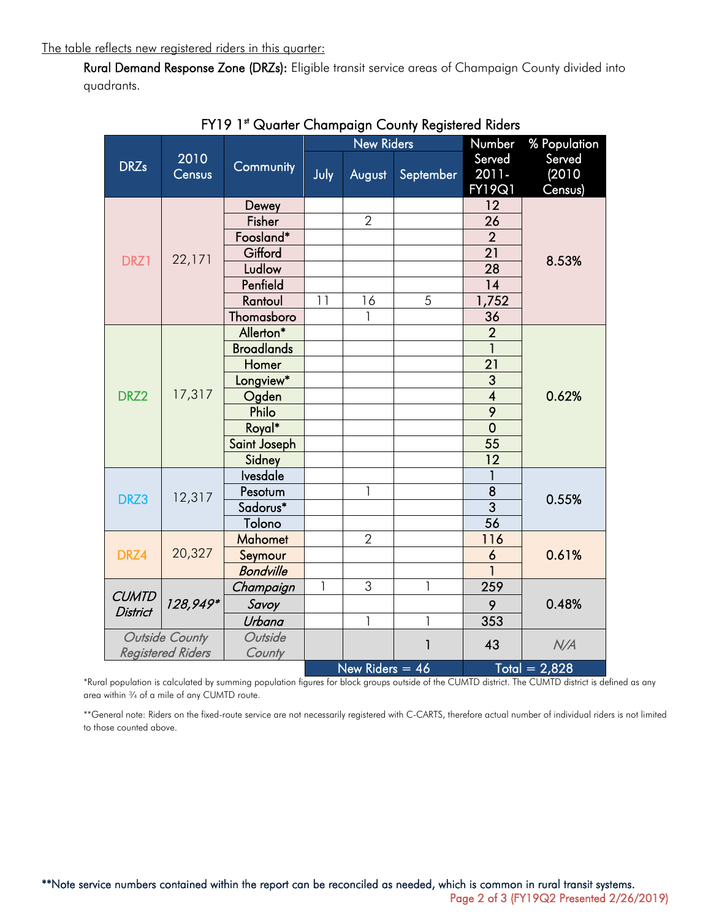The table reflects new registered riders in this quarter:

Rural Demand Response Zone (DRZs): Eligible transit service areas of Champaign County divided into quadrants.

|                                 |                          |                   |              | <b>New Riders</b> |           | Number                  | % Population    |  |
|---------------------------------|--------------------------|-------------------|--------------|-------------------|-----------|-------------------------|-----------------|--|
| <b>DRZs</b>                     | 2010                     | Community         |              |                   |           | Served                  | Served          |  |
|                                 | Census                   |                   | July         | August            | September | 2011-                   | (2010)          |  |
|                                 |                          |                   |              |                   |           | <b>FY19Q1</b>           | Census)         |  |
|                                 |                          | Dewey             |              |                   |           | 12                      |                 |  |
|                                 |                          | Fisher            |              | $\overline{2}$    |           | 26                      |                 |  |
|                                 |                          | Foosland*         |              |                   |           | $\overline{2}$          |                 |  |
| DRZ1                            | 22,171                   | Gifford           |              |                   |           | $\overline{21}$         | 8.53%           |  |
|                                 |                          | Ludlow            |              |                   |           | $\overline{28}$         |                 |  |
|                                 |                          | Penfield          |              |                   |           | 14                      |                 |  |
|                                 |                          | Rantoul           | 11           | 16                | 5         | 1,752                   |                 |  |
|                                 |                          | Thomasboro        |              | 1                 |           | 36                      |                 |  |
|                                 |                          | Allerton*         |              |                   |           | $\overline{2}$          |                 |  |
|                                 |                          | <b>Broadlands</b> |              |                   |           |                         |                 |  |
|                                 | 17,317                   | Homer             |              |                   |           | $\overline{21}$         | 0.62%           |  |
|                                 |                          | Longview*         |              |                   |           | 3                       |                 |  |
| DRZ2                            |                          | Ogden             |              |                   |           | $\overline{\mathbf{4}}$ |                 |  |
|                                 |                          | Philo             |              |                   |           | $\overline{9}$          |                 |  |
|                                 |                          | Royal*            |              |                   |           | $\overline{0}$          |                 |  |
|                                 |                          | Saint Joseph      |              |                   |           | 55                      |                 |  |
|                                 |                          | Sidney            |              |                   |           | 12                      |                 |  |
|                                 |                          | <b>Ivesdale</b>   |              |                   |           | 1                       |                 |  |
| DRZ3                            | 12,317                   | Pesotum           |              | 1                 |           | 8                       | 0.55%           |  |
|                                 |                          | Sadorus*          |              |                   |           | $\overline{3}$          |                 |  |
|                                 |                          | Tolono            |              |                   |           | $\overline{56}$         |                 |  |
|                                 |                          | <b>Mahomet</b>    |              | $\overline{2}$    |           | 116                     |                 |  |
| DRZ4                            | 20,327                   | Seymour           |              |                   |           | 6                       | 0.61%           |  |
|                                 |                          | <b>Bondville</b>  |              |                   |           |                         |                 |  |
| <b>CUMTD</b><br><b>District</b> |                          | Champaign         | $\mathbf{1}$ | $\overline{3}$    | 1         | 259                     |                 |  |
|                                 | 128,949*                 | Savoy             |              |                   |           | 9                       | 0.48%           |  |
|                                 |                          | Urbana            |              | $\overline{1}$    | 1         | 353                     |                 |  |
| Outside County                  |                          | Outside           |              |                   | 1         |                         |                 |  |
|                                 | <b>Registered Riders</b> | County            |              |                   |           | 43                      | N/A             |  |
|                                 |                          |                   |              | New Riders $= 46$ |           |                         | $Total = 2.828$ |  |

FY19 1st Quarter Champaign County Registered Riders

\*Rural population is calculated by summing population figures for block groups outside of the CUMTD district. The CUMTD district is defined as any area within ¾ of a mile of any CUMTD route.

\*\*General note: Riders on the fixed-route service are not necessarily registered with C-CARTS, therefore actual number of individual riders is not limited to those counted above.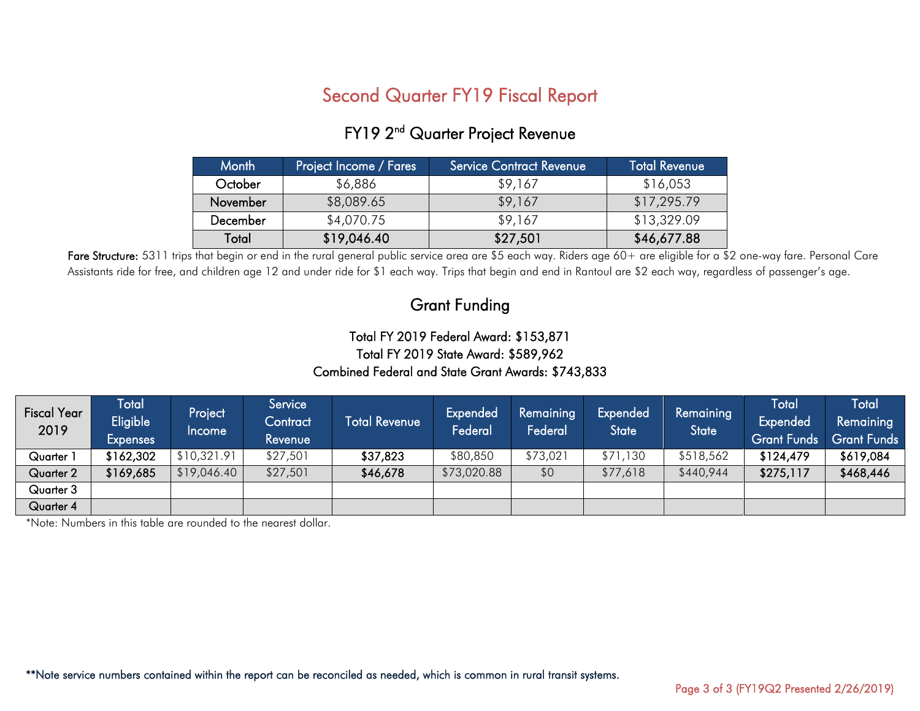# Second Quarter FY19 Fiscal Report

| <b>Month</b> | Project Income / Fares | Service Contract Revenue | <b>Total Revenue</b> |
|--------------|------------------------|--------------------------|----------------------|
| October      | \$6,886                | \$9,167                  | \$16,053             |
| November     | \$8,089.65             | \$9,167                  | \$17,295.79          |
| December     | \$4,070.75             | \$9,167                  | \$13,329.09          |
| Total        | \$19,046.40            | \$27,501                 | \$46,677.88          |

# FY19 2<sup>nd</sup> Quarter Project Revenue

Fare Structure: 5311 trips that begin or end in the rural general public service area are \$5 each way. Riders age 60+ are eligible for a \$2 one-way fare. Personal Care Assistants ride for free, and children age 12 and under ride for \$1 each way. Trips that begin and end in Rantoul are \$2 each way, regardless of passenger's age.

# Grant Funding

# Total FY 2019 Federal Award: \$153,871 Total FY 2019 State Award: \$589,962 Combined Federal and State Grant Awards: \$743,833

| <b>Fiscal Year</b><br>2019 | <b>Total</b><br>Eligible <sup>1</sup><br><b>Expenses</b> | Project,<br>Income | Service<br>Contract<br>Revenue | <b>Total Revenue</b> | Expended<br>Federal | Remaining<br>Federal | Expended<br>State | Remaining<br><b>State</b> | Total<br>Expended<br><b>Grant Funds</b> | <b>Total</b><br>Remaining<br><b>Grant Funds</b> |
|----------------------------|----------------------------------------------------------|--------------------|--------------------------------|----------------------|---------------------|----------------------|-------------------|---------------------------|-----------------------------------------|-------------------------------------------------|
| Quarter 1                  | \$162,302                                                | \$10,321.91        | \$27,501                       | \$37,823             | \$80,850            | \$73,021             | \$71,130          | \$518,562                 | \$124,479                               | \$619,084                                       |
| Quarter 2                  | \$169,685                                                | \$19,046.40        | \$27,501                       | \$46,678             | \$73,020.88         | \$0                  | \$77,618          | \$440,944                 | \$275,117                               | \$468,446                                       |
| Quarter 3                  |                                                          |                    |                                |                      |                     |                      |                   |                           |                                         |                                                 |
| Quarter 4                  |                                                          |                    |                                |                      |                     |                      |                   |                           |                                         |                                                 |

\*Note: Numbers in this table are rounded to the nearest dollar.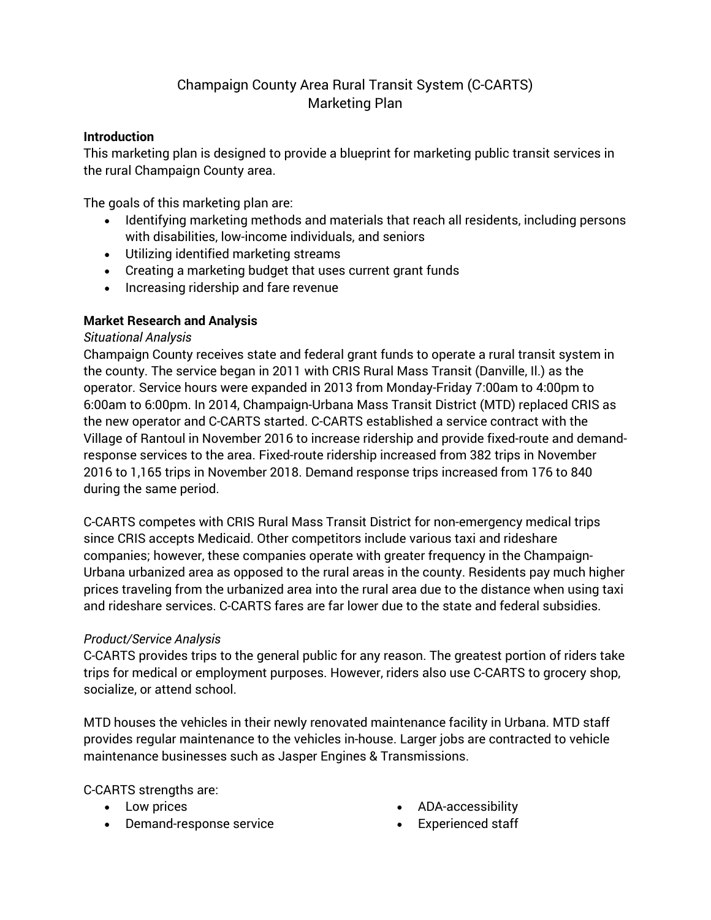# Champaign County Area Rural Transit System (C-CARTS) Marketing Plan

## **Introduction**

This marketing plan is designed to provide a blueprint for marketing public transit services in the rural Champaign County area.

The goals of this marketing plan are:

- Identifying marketing methods and materials that reach all residents, including persons with disabilities, low-income individuals, and seniors
- Utilizing identified marketing streams
- Creating a marketing budget that uses current grant funds
- Increasing ridership and fare revenue

## **Market Research and Analysis**

#### *Situational Analysis*

Champaign County receives state and federal grant funds to operate a rural transit system in the county. The service began in 2011 with CRIS Rural Mass Transit (Danville, Il.) as the operator. Service hours were expanded in 2013 from Monday-Friday 7:00am to 4:00pm to 6:00am to 6:00pm. In 2014, Champaign-Urbana Mass Transit District (MTD) replaced CRIS as the new operator and C-CARTS started. C-CARTS established a service contract with the Village of Rantoul in November 2016 to increase ridership and provide fixed-route and demandresponse services to the area. Fixed-route ridership increased from 382 trips in November 2016 to 1,165 trips in November 2018. Demand response trips increased from 176 to 840 during the same period.

C-CARTS competes with CRIS Rural Mass Transit District for non-emergency medical trips since CRIS accepts Medicaid. Other competitors include various taxi and rideshare companies; however, these companies operate with greater frequency in the Champaign-Urbana urbanized area as opposed to the rural areas in the county. Residents pay much higher prices traveling from the urbanized area into the rural area due to the distance when using taxi and rideshare services. C-CARTS fares are far lower due to the state and federal subsidies.

## *Product/Service Analysis*

C-CARTS provides trips to the general public for any reason. The greatest portion of riders take trips for medical or employment purposes. However, riders also use C-CARTS to grocery shop, socialize, or attend school.

MTD houses the vehicles in their newly renovated maintenance facility in Urbana. MTD staff provides regular maintenance to the vehicles in-house. Larger jobs are contracted to vehicle maintenance businesses such as Jasper Engines & Transmissions.

C-CARTS strengths are:

- Low prices
- Demand-response service
- ADA-accessibility
- Experienced staff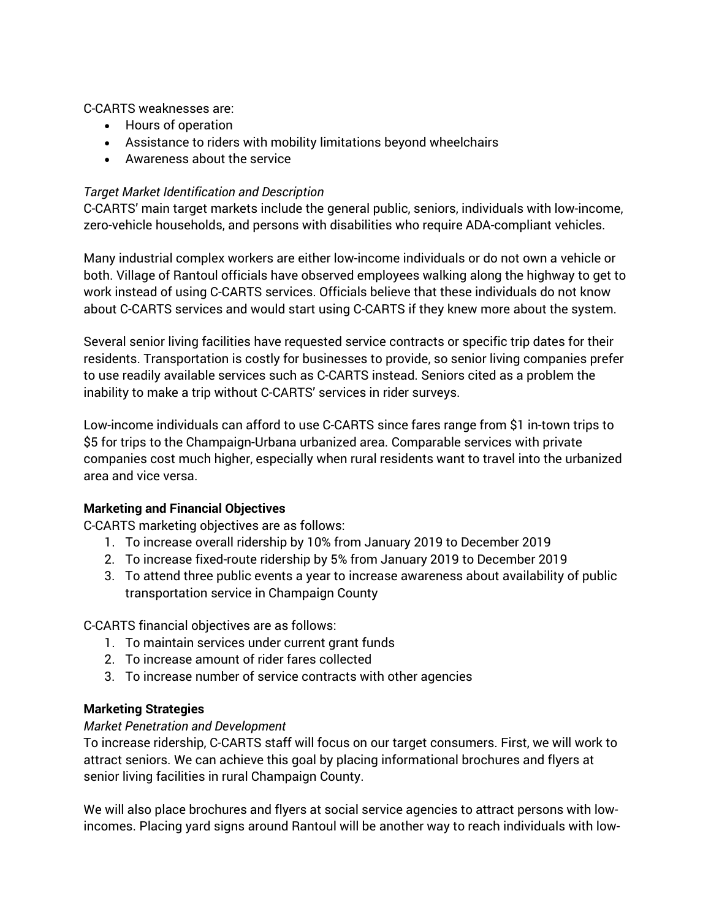C-CARTS weaknesses are:

- Hours of operation
- Assistance to riders with mobility limitations beyond wheelchairs
- Awareness about the service

# *Target Market Identification and Description*

C-CARTS' main target markets include the general public, seniors, individuals with low-income, zero-vehicle households, and persons with disabilities who require ADA-compliant vehicles.

Many industrial complex workers are either low-income individuals or do not own a vehicle or both. Village of Rantoul officials have observed employees walking along the highway to get to work instead of using C-CARTS services. Officials believe that these individuals do not know about C-CARTS services and would start using C-CARTS if they knew more about the system.

Several senior living facilities have requested service contracts or specific trip dates for their residents. Transportation is costly for businesses to provide, so senior living companies prefer to use readily available services such as C-CARTS instead. Seniors cited as a problem the inability to make a trip without C-CARTS' services in rider surveys.

Low-income individuals can afford to use C-CARTS since fares range from \$1 in-town trips to \$5 for trips to the Champaign-Urbana urbanized area. Comparable services with private companies cost much higher, especially when rural residents want to travel into the urbanized area and vice versa.

## **Marketing and Financial Objectives**

C-CARTS marketing objectives are as follows:

- 1. To increase overall ridership by 10% from January 2019 to December 2019
- 2. To increase fixed-route ridership by 5% from January 2019 to December 2019
- 3. To attend three public events a year to increase awareness about availability of public transportation service in Champaign County

C-CARTS financial objectives are as follows:

- 1. To maintain services under current grant funds
- 2. To increase amount of rider fares collected
- 3. To increase number of service contracts with other agencies

## **Marketing Strategies**

# *Market Penetration and Development*

To increase ridership, C-CARTS staff will focus on our target consumers. First, we will work to attract seniors. We can achieve this goal by placing informational brochures and flyers at senior living facilities in rural Champaign County.

We will also place brochures and flyers at social service agencies to attract persons with lowincomes. Placing yard signs around Rantoul will be another way to reach individuals with low-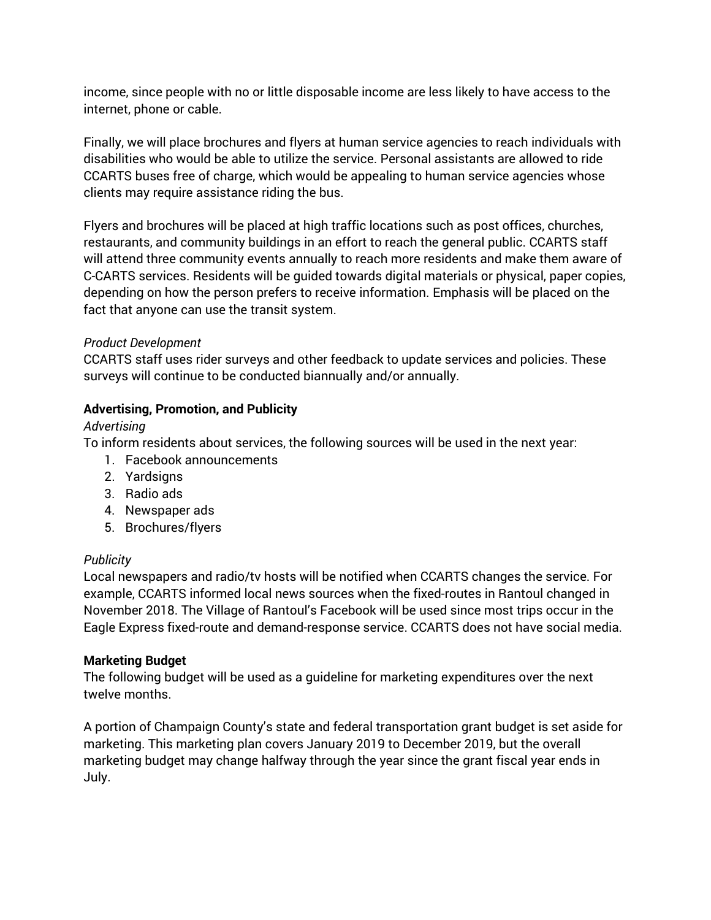income, since people with no or little disposable income are less likely to have access to the internet, phone or cable.

Finally, we will place brochures and flyers at human service agencies to reach individuals with disabilities who would be able to utilize the service. Personal assistants are allowed to ride CCARTS buses free of charge, which would be appealing to human service agencies whose clients may require assistance riding the bus.

Flyers and brochures will be placed at high traffic locations such as post offices, churches, restaurants, and community buildings in an effort to reach the general public. CCARTS staff will attend three community events annually to reach more residents and make them aware of C-CARTS services. Residents will be guided towards digital materials or physical, paper copies, depending on how the person prefers to receive information. Emphasis will be placed on the fact that anyone can use the transit system.

## *Product Development*

CCARTS staff uses rider surveys and other feedback to update services and policies. These surveys will continue to be conducted biannually and/or annually.

# **Advertising, Promotion, and Publicity**

# *Advertising*

To inform residents about services, the following sources will be used in the next year:

- 1. Facebook announcements
- 2. Yardsigns
- 3. Radio ads
- 4. Newspaper ads
- 5. Brochures/flyers

# *Publicity*

Local newspapers and radio/tv hosts will be notified when CCARTS changes the service. For example, CCARTS informed local news sources when the fixed-routes in Rantoul changed in November 2018. The Village of Rantoul's Facebook will be used since most trips occur in the Eagle Express fixed-route and demand-response service. CCARTS does not have social media.

# **Marketing Budget**

The following budget will be used as a guideline for marketing expenditures over the next twelve months.

A portion of Champaign County's state and federal transportation grant budget is set aside for marketing. This marketing plan covers January 2019 to December 2019, but the overall marketing budget may change halfway through the year since the grant fiscal year ends in July.